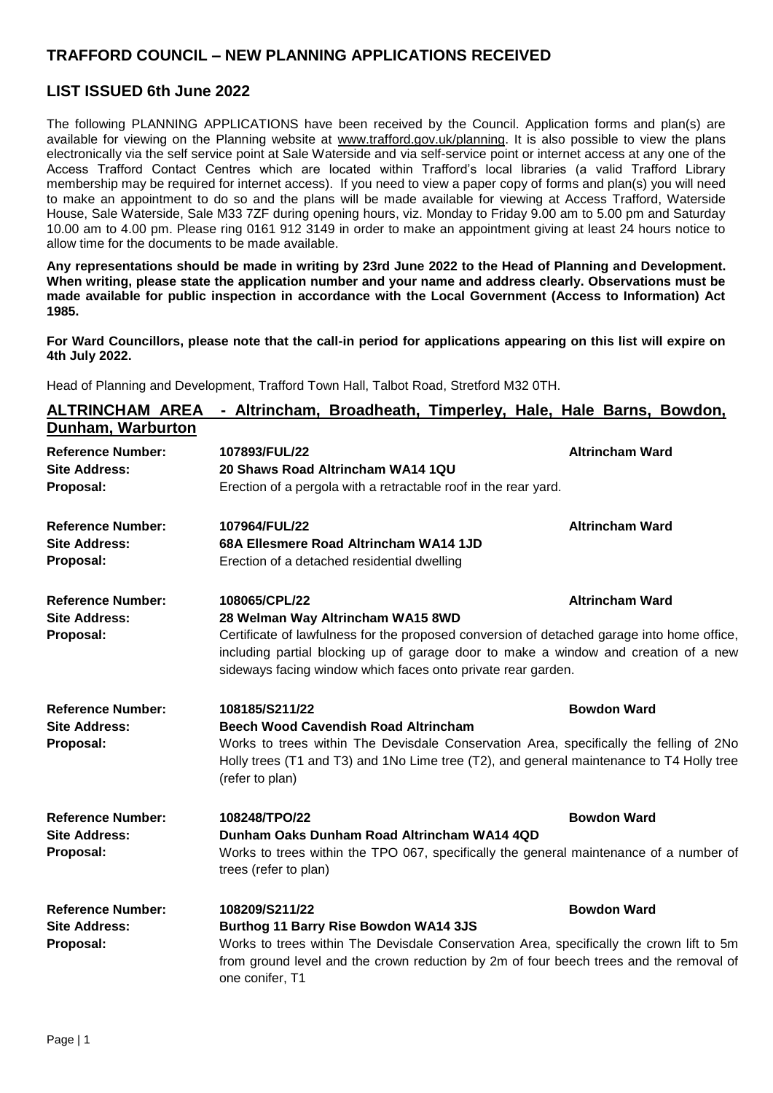## **TRAFFORD COUNCIL – NEW PLANNING APPLICATIONS RECEIVED**

## **LIST ISSUED 6th June 2022**

The following PLANNING APPLICATIONS have been received by the Council. Application forms and plan(s) are available for viewing on the Planning website at [www.trafford.gov.uk/planning.](http://www.trafford.gov.uk/planning) It is also possible to view the plans electronically via the self service point at Sale Waterside and via self-service point or internet access at any one of the Access Trafford Contact Centres which are located within Trafford's local libraries (a valid Trafford Library membership may be required for internet access). If you need to view a paper copy of forms and plan(s) you will need to make an appointment to do so and the plans will be made available for viewing at Access Trafford, Waterside House, Sale Waterside, Sale M33 7ZF during opening hours, viz. Monday to Friday 9.00 am to 5.00 pm and Saturday 10.00 am to 4.00 pm. Please ring 0161 912 3149 in order to make an appointment giving at least 24 hours notice to allow time for the documents to be made available.

**Any representations should be made in writing by 23rd June 2022 to the Head of Planning and Development. When writing, please state the application number and your name and address clearly. Observations must be made available for public inspection in accordance with the Local Government (Access to Information) Act 1985.**

**For Ward Councillors, please note that the call-in period for applications appearing on this list will expire on 4th July 2022.**

Head of Planning and Development, Trafford Town Hall, Talbot Road, Stretford M32 0TH.

| <b>ALTRINCHAM AREA</b>   | - Altrincham, Broadheath, Timperley, Hale, Hale Barns, Bowdon,                                                                                                                                                                                    |                        |
|--------------------------|---------------------------------------------------------------------------------------------------------------------------------------------------------------------------------------------------------------------------------------------------|------------------------|
| Dunham, Warburton        |                                                                                                                                                                                                                                                   |                        |
| <b>Reference Number:</b> | 107893/FUL/22                                                                                                                                                                                                                                     | <b>Altrincham Ward</b> |
| <b>Site Address:</b>     | 20 Shaws Road Altrincham WA14 1QU                                                                                                                                                                                                                 |                        |
| Proposal:                | Erection of a pergola with a retractable roof in the rear yard.                                                                                                                                                                                   |                        |
| <b>Reference Number:</b> | 107964/FUL/22                                                                                                                                                                                                                                     | <b>Altrincham Ward</b> |
| <b>Site Address:</b>     | 68A Ellesmere Road Altrincham WA14 1JD                                                                                                                                                                                                            |                        |
| Proposal:                | Erection of a detached residential dwelling                                                                                                                                                                                                       |                        |
| <b>Reference Number:</b> | 108065/CPL/22                                                                                                                                                                                                                                     | <b>Altrincham Ward</b> |
| <b>Site Address:</b>     | 28 Welman Way Altrincham WA15 8WD                                                                                                                                                                                                                 |                        |
| Proposal:                | Certificate of lawfulness for the proposed conversion of detached garage into home office,<br>including partial blocking up of garage door to make a window and creation of a new<br>sideways facing window which faces onto private rear garden. |                        |
| <b>Reference Number:</b> | 108185/S211/22                                                                                                                                                                                                                                    | <b>Bowdon Ward</b>     |
| <b>Site Address:</b>     | <b>Beech Wood Cavendish Road Altrincham</b>                                                                                                                                                                                                       |                        |
| Proposal:                | Works to trees within The Devisdale Conservation Area, specifically the felling of 2No<br>Holly trees (T1 and T3) and 1No Lime tree (T2), and general maintenance to T4 Holly tree<br>(refer to plan)                                             |                        |
| <b>Reference Number:</b> | 108248/TPO/22                                                                                                                                                                                                                                     | <b>Bowdon Ward</b>     |
| <b>Site Address:</b>     | Dunham Oaks Dunham Road Altrincham WA14 4QD                                                                                                                                                                                                       |                        |
| Proposal:                | Works to trees within the TPO 067, specifically the general maintenance of a number of<br>trees (refer to plan)                                                                                                                                   |                        |
| <b>Reference Number:</b> | 108209/S211/22                                                                                                                                                                                                                                    | <b>Bowdon Ward</b>     |
| <b>Site Address:</b>     | <b>Burthog 11 Barry Rise Bowdon WA14 3JS</b>                                                                                                                                                                                                      |                        |
| Proposal:                | Works to trees within The Devisdale Conservation Area, specifically the crown lift to 5m<br>from ground level and the crown reduction by 2m of four beech trees and the removal of<br>one conifer, T1                                             |                        |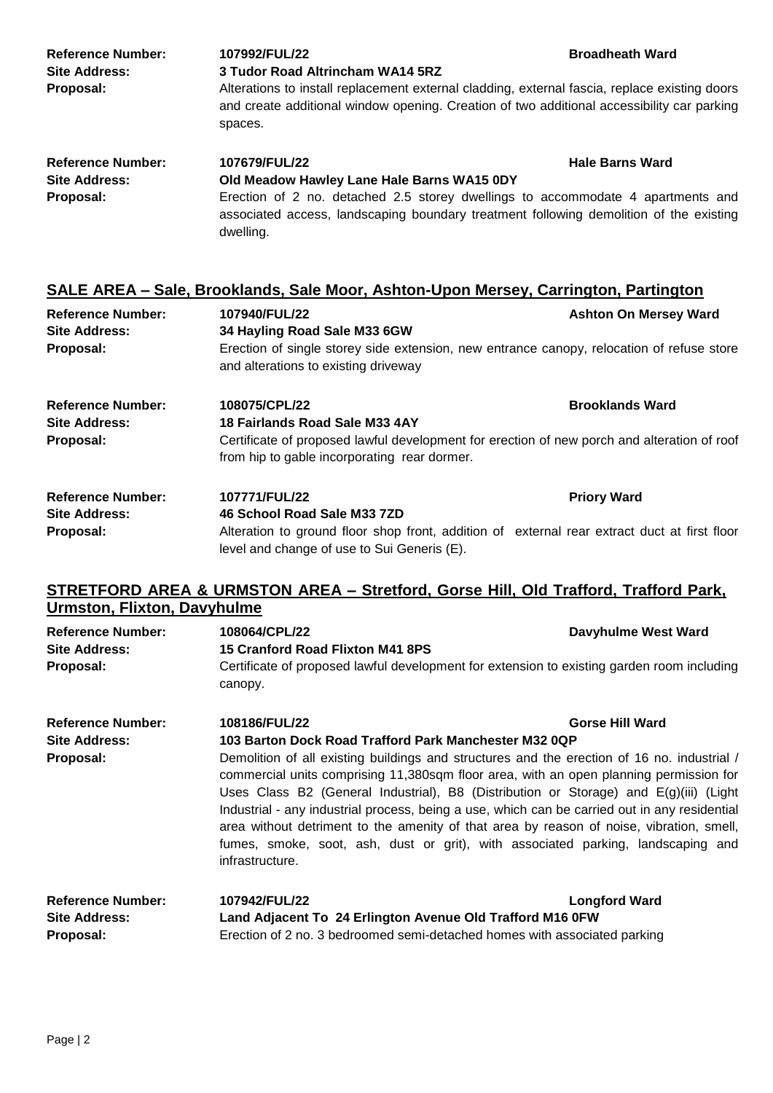| <b>Reference Number:</b><br><b>Site Address:</b> | 107992/FUL/22<br>3 Tudor Road Altrincham WA14 5RZ | <b>Broadheath Ward</b>                                                                                                                                                                      |
|--------------------------------------------------|---------------------------------------------------|---------------------------------------------------------------------------------------------------------------------------------------------------------------------------------------------|
| Proposal:                                        | spaces.                                           | Alterations to install replacement external cladding, external fascia, replace existing doors<br>and create additional window opening. Creation of two additional accessibility car parking |
| <b>Reference Number:</b>                         | 107679/FUL/22                                     | <b>Hale Barns Ward</b>                                                                                                                                                                      |
| <b>Site Address:</b>                             | Old Meadow Hawley Lane Hale Barns WA15 0DY        |                                                                                                                                                                                             |
| Proposal:                                        | dwelling.                                         | Erection of 2 no. detached 2.5 storey dwellings to accommodate 4 apartments and<br>associated access, landscaping boundary treatment following demolition of the existing                   |

|                          |                                      | SALE AREA - Sale, Brooklands, Sale Moor, Ashton-Upon Mersey, Carrington, Partington       |
|--------------------------|--------------------------------------|-------------------------------------------------------------------------------------------|
| <b>Reference Number:</b> | 107940/FUL/22                        | <b>Ashton On Mersey Ward</b>                                                              |
| <b>Site Address:</b>     | 34 Hayling Road Sale M33 6GW         |                                                                                           |
| Proposal:                | and alterations to existing driveway | Erection of single storey side extension, new entrance canopy, relocation of refuse store |

| <b>Reference Number:</b> | 108075/CPL/22                                                                                                                               | <b>Brooklands Ward</b> |
|--------------------------|---------------------------------------------------------------------------------------------------------------------------------------------|------------------------|
| <b>Site Address:</b>     | 18 Fairlands Road Sale M33 4AY                                                                                                              |                        |
| Proposal:                | Certificate of proposed lawful development for erection of new porch and alteration of roof<br>from hip to gable incorporating rear dormer. |                        |
| <b>Reference Number:</b> | <b>107771/FUL/22</b>                                                                                                                        | <b>Priory Ward</b>     |
| <b>Site Address:</b>     | 46 School Road Sale M33 7ZD                                                                                                                 |                        |
| Proposal:                | Alteration to ground floor shop front, addition of external rear extract duct at first floor                                                |                        |

## **STRETFORD AREA & URMSTON AREA – Stretford, Gorse Hill, Old Trafford, Trafford Park, Urmston, Flixton, Davyhulme**

level and change of use to Sui Generis (E).

| <b>Reference Number:</b><br><b>Site Address:</b>              | 108064/CPL/22<br>15 Cranford Road Flixton M41 8PS                                                                                                                                                                                                                                                                                                                                                                                                                                                                                                                                  | Davyhulme West Ward    |  |
|---------------------------------------------------------------|------------------------------------------------------------------------------------------------------------------------------------------------------------------------------------------------------------------------------------------------------------------------------------------------------------------------------------------------------------------------------------------------------------------------------------------------------------------------------------------------------------------------------------------------------------------------------------|------------------------|--|
| Proposal:                                                     | Certificate of proposed lawful development for extension to existing garden room including<br>canopy.                                                                                                                                                                                                                                                                                                                                                                                                                                                                              |                        |  |
| <b>Reference Number:</b>                                      | 108186/FUL/22                                                                                                                                                                                                                                                                                                                                                                                                                                                                                                                                                                      | <b>Gorse Hill Ward</b> |  |
| <b>Site Address:</b>                                          | 103 Barton Dock Road Trafford Park Manchester M32 0QP                                                                                                                                                                                                                                                                                                                                                                                                                                                                                                                              |                        |  |
| Proposal:                                                     | Demolition of all existing buildings and structures and the erection of 16 no. industrial /<br>commercial units comprising 11,380sqm floor area, with an open planning permission for<br>Uses Class B2 (General Industrial), B8 (Distribution or Storage) and E(g)(iii) (Light<br>Industrial - any industrial process, being a use, which can be carried out in any residential<br>area without detriment to the amenity of that area by reason of noise, vibration, smell,<br>fumes, smoke, soot, ash, dust or grit), with associated parking, landscaping and<br>infrastructure. |                        |  |
| <b>Reference Number:</b><br><b>Site Address:</b><br>Proposal: | 107942/FUL/22<br>Land Adjacent To 24 Erlington Avenue Old Trafford M16 0FW<br>Erection of 2 no. 3 bedroomed semi-detached homes with associated parking                                                                                                                                                                                                                                                                                                                                                                                                                            | <b>Longford Ward</b>   |  |